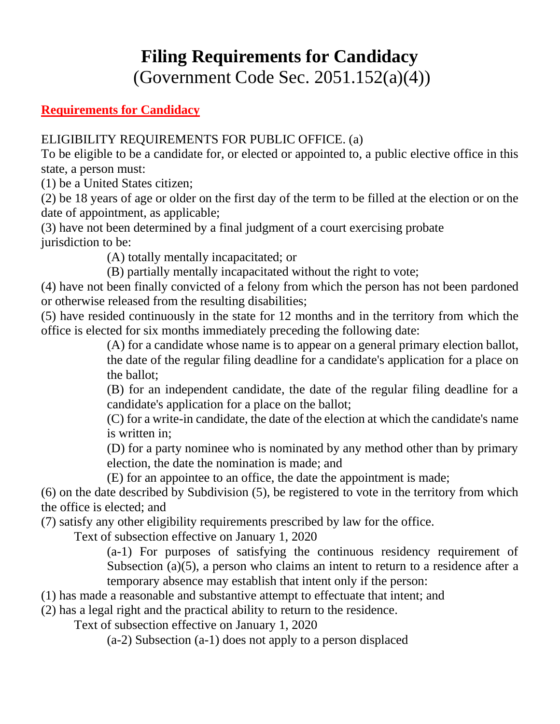## **Filing Requirements for Candidacy**

(Government Code Sec. 2051.152(a)(4))

## **Requirements for Candidacy**

ELIGIBILITY REQUIREMENTS FOR PUBLIC OFFICE. (a)

To be eligible to be a candidate for, or elected or appointed to, a public elective office in this state, a person must:

(1) be a United States citizen;

(2) be 18 years of age or older on the first day of the term to be filled at the election or on the date of appointment, as applicable;

(3) have not been determined by a final judgment of a court exercising probate jurisdiction to be:

(A) totally mentally incapacitated; or

(B) partially mentally incapacitated without the right to vote;

(4) have not been finally convicted of a felony from which the person has not been pardoned or otherwise released from the resulting disabilities;

(5) have resided continuously in the state for 12 months and in the territory from which the office is elected for six months immediately preceding the following date:

> (A) for a candidate whose name is to appear on a general primary election ballot, the date of the regular filing deadline for a candidate's application for a place on the ballot;

> (B) for an independent candidate, the date of the regular filing deadline for a candidate's application for a place on the ballot;

> (C) for a write-in candidate, the date of the election at which the candidate's name is written in;

> (D) for a party nominee who is nominated by any method other than by primary election, the date the nomination is made; and

(E) for an appointee to an office, the date the appointment is made;

(6) on the date described by Subdivision (5), be registered to vote in the territory from which the office is elected; and

(7) satisfy any other eligibility requirements prescribed by law for the office.

Text of subsection effective on January 1, 2020

(a-1) For purposes of satisfying the continuous residency requirement of Subsection (a)(5), a person who claims an intent to return to a residence after a temporary absence may establish that intent only if the person:

(1) has made a reasonable and substantive attempt to effectuate that intent; and

(2) has a legal right and the practical ability to return to the residence.

Text of subsection effective on January 1, 2020

(a-2) Subsection (a-1) does not apply to a person displaced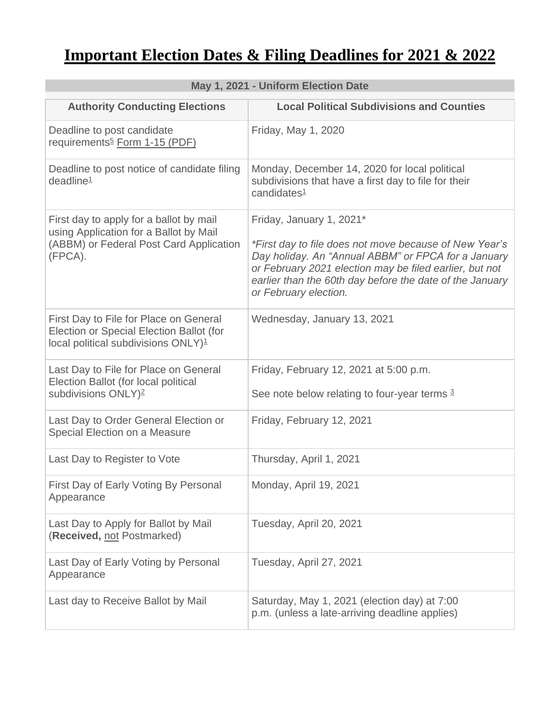## **Important Election Dates & Filing Deadlines for 2021 & 2022**

| May 1, 2021 - Uniform Election Date                                                                                                     |                                                                                                                                                                                                                                                                                           |  |
|-----------------------------------------------------------------------------------------------------------------------------------------|-------------------------------------------------------------------------------------------------------------------------------------------------------------------------------------------------------------------------------------------------------------------------------------------|--|
| <b>Authority Conducting Elections</b>                                                                                                   | <b>Local Political Subdivisions and Counties</b>                                                                                                                                                                                                                                          |  |
| Deadline to post candidate<br>requirements <sup>5</sup> Form 1-15 (PDF)                                                                 | Friday, May 1, 2020                                                                                                                                                                                                                                                                       |  |
| Deadline to post notice of candidate filing<br>deadline <sup>1</sup>                                                                    | Monday, December 14, 2020 for local political<br>subdivisions that have a first day to file for their<br>candidates <sup>1</sup>                                                                                                                                                          |  |
| First day to apply for a ballot by mail<br>using Application for a Ballot by Mail<br>(ABBM) or Federal Post Card Application<br>(FPCA). | Friday, January 1, 2021*<br>*First day to file does not move because of New Year's<br>Day holiday. An "Annual ABBM" or FPCA for a January<br>or February 2021 election may be filed earlier, but not<br>earlier than the 60th day before the date of the January<br>or February election. |  |
| First Day to File for Place on General<br>Election or Special Election Ballot (for<br>local political subdivisions ONLY) <sup>1</sup>   | Wednesday, January 13, 2021                                                                                                                                                                                                                                                               |  |
| Last Day to File for Place on General<br>Election Ballot (for local political<br>subdivisions ONLY) <sup>2</sup>                        | Friday, February 12, 2021 at 5:00 p.m.<br>See note below relating to four-year terms 3                                                                                                                                                                                                    |  |
| Last Day to Order General Election or<br>Special Election on a Measure                                                                  | Friday, February 12, 2021                                                                                                                                                                                                                                                                 |  |
| Last Day to Register to Vote                                                                                                            | Thursday, April 1, 2021                                                                                                                                                                                                                                                                   |  |
| First Day of Early Voting By Personal<br>Appearance                                                                                     | Monday, April 19, 2021                                                                                                                                                                                                                                                                    |  |
| Last Day to Apply for Ballot by Mail<br>(Received, not Postmarked)                                                                      | Tuesday, April 20, 2021                                                                                                                                                                                                                                                                   |  |
| Last Day of Early Voting by Personal<br>Appearance                                                                                      | Tuesday, April 27, 2021                                                                                                                                                                                                                                                                   |  |
| Last day to Receive Ballot by Mail                                                                                                      | Saturday, May 1, 2021 (election day) at 7:00<br>p.m. (unless a late-arriving deadline applies)                                                                                                                                                                                            |  |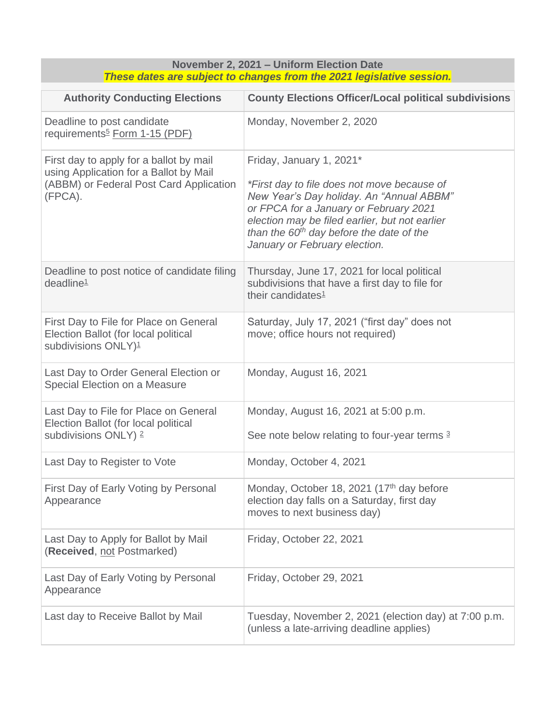| November 2, 2021 - Uniform Election Date<br>These dates are subject to changes from the 2021 legislative session.                       |                                                                                                                                                                                                                                                                                                |  |
|-----------------------------------------------------------------------------------------------------------------------------------------|------------------------------------------------------------------------------------------------------------------------------------------------------------------------------------------------------------------------------------------------------------------------------------------------|--|
| <b>Authority Conducting Elections</b>                                                                                                   | <b>County Elections Officer/Local political subdivisions</b>                                                                                                                                                                                                                                   |  |
| Deadline to post candidate<br>requirements <sup>5</sup> Form 1-15 (PDF)                                                                 | Monday, November 2, 2020                                                                                                                                                                                                                                                                       |  |
| First day to apply for a ballot by mail<br>using Application for a Ballot by Mail<br>(ABBM) or Federal Post Card Application<br>(FPCA). | Friday, January 1, 2021*<br>*First day to file does not move because of<br>New Year's Day holiday. An "Annual ABBM"<br>or FPCA for a January or February 2021<br>election may be filed earlier, but not earlier<br>than the $60th$ day before the date of the<br>January or February election. |  |
| Deadline to post notice of candidate filing<br>deadline <sup>1</sup>                                                                    | Thursday, June 17, 2021 for local political<br>subdivisions that have a first day to file for<br>their candidates <sup>1</sup>                                                                                                                                                                 |  |
| First Day to File for Place on General<br>Election Ballot (for local political<br>subdivisions ONLY) <sup>1</sup>                       | Saturday, July 17, 2021 ("first day" does not<br>move; office hours not required)                                                                                                                                                                                                              |  |
| Last Day to Order General Election or<br>Special Election on a Measure                                                                  | Monday, August 16, 2021                                                                                                                                                                                                                                                                        |  |
| Last Day to File for Place on General<br>Election Ballot (for local political<br>subdivisions ONLY) 2                                   | Monday, August 16, 2021 at 5:00 p.m.<br>See note below relating to four-year terms 3                                                                                                                                                                                                           |  |
| Last Day to Register to Vote                                                                                                            | Monday, October 4, 2021                                                                                                                                                                                                                                                                        |  |
| First Day of Early Voting by Personal<br>Appearance                                                                                     | Monday, October 18, 2021 (17 <sup>th</sup> day before<br>election day falls on a Saturday, first day<br>moves to next business day)                                                                                                                                                            |  |
| Last Day to Apply for Ballot by Mail<br>(Received, not Postmarked)                                                                      | Friday, October 22, 2021                                                                                                                                                                                                                                                                       |  |
| Last Day of Early Voting by Personal<br>Appearance                                                                                      | Friday, October 29, 2021                                                                                                                                                                                                                                                                       |  |
| Last day to Receive Ballot by Mail                                                                                                      | Tuesday, November 2, 2021 (election day) at 7:00 p.m.<br>(unless a late-arriving deadline applies)                                                                                                                                                                                             |  |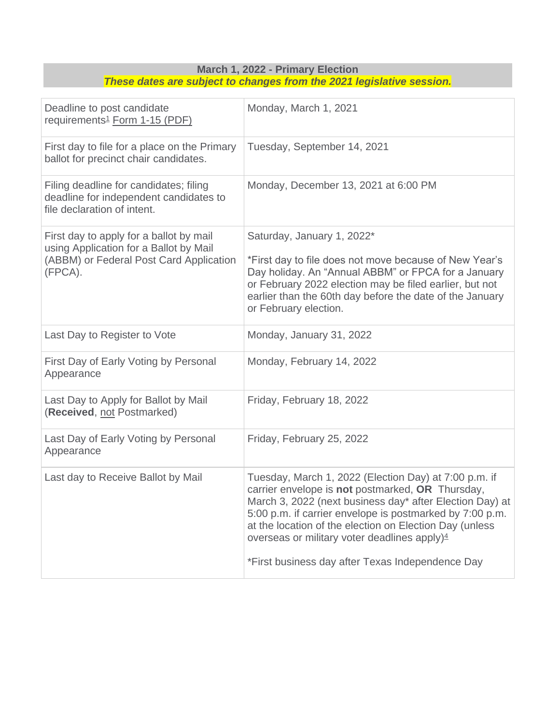| These dates are subject to changes from the 2021 legislative session.                                                                   |                                                                                                                                                                                                                                                                                                                                                                                                              |  |
|-----------------------------------------------------------------------------------------------------------------------------------------|--------------------------------------------------------------------------------------------------------------------------------------------------------------------------------------------------------------------------------------------------------------------------------------------------------------------------------------------------------------------------------------------------------------|--|
| Deadline to post candidate<br>requirements <sup>1</sup> Form 1-15 (PDF)                                                                 | Monday, March 1, 2021                                                                                                                                                                                                                                                                                                                                                                                        |  |
| First day to file for a place on the Primary<br>ballot for precinct chair candidates.                                                   | Tuesday, September 14, 2021                                                                                                                                                                                                                                                                                                                                                                                  |  |
| Filing deadline for candidates; filing<br>deadline for independent candidates to<br>file declaration of intent.                         | Monday, December 13, 2021 at 6:00 PM                                                                                                                                                                                                                                                                                                                                                                         |  |
| First day to apply for a ballot by mail<br>using Application for a Ballot by Mail<br>(ABBM) or Federal Post Card Application<br>(FPCA). | Saturday, January 1, 2022*<br>*First day to file does not move because of New Year's<br>Day holiday. An "Annual ABBM" or FPCA for a January<br>or February 2022 election may be filed earlier, but not<br>earlier than the 60th day before the date of the January<br>or February election.                                                                                                                  |  |
| Last Day to Register to Vote                                                                                                            | Monday, January 31, 2022                                                                                                                                                                                                                                                                                                                                                                                     |  |
| First Day of Early Voting by Personal<br>Appearance                                                                                     | Monday, February 14, 2022                                                                                                                                                                                                                                                                                                                                                                                    |  |
| Last Day to Apply for Ballot by Mail<br>(Received, not Postmarked)                                                                      | Friday, February 18, 2022                                                                                                                                                                                                                                                                                                                                                                                    |  |
| Last Day of Early Voting by Personal<br>Appearance                                                                                      | Friday, February 25, 2022                                                                                                                                                                                                                                                                                                                                                                                    |  |
| Last day to Receive Ballot by Mail                                                                                                      | Tuesday, March 1, 2022 (Election Day) at 7:00 p.m. if<br>carrier envelope is not postmarked, OR Thursday,<br>March 3, 2022 (next business day* after Election Day) at<br>5:00 p.m. if carrier envelope is postmarked by 7:00 p.m.<br>at the location of the election on Election Day (unless<br>overseas or military voter deadlines apply) <sup>4</sup><br>*First business day after Texas Independence Day |  |

**March 1, 2022 - Primary Election**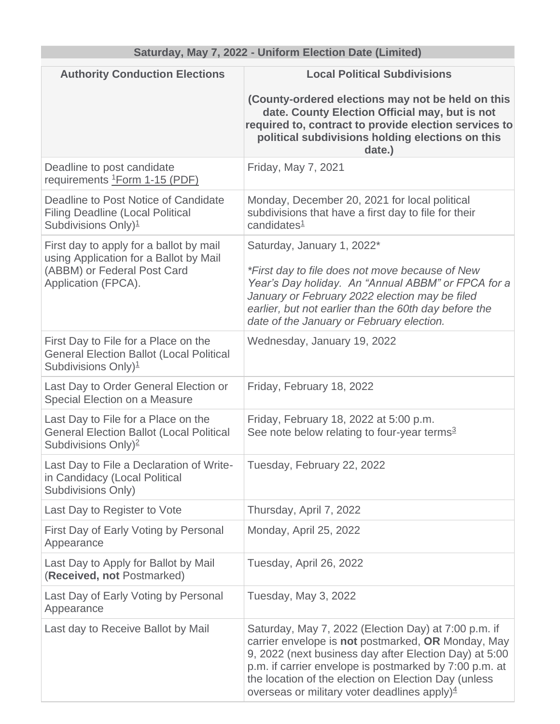## **Saturday, May 7, 2022 - Uniform Election Date (Limited)**

| <b>Authority Conduction Elections</b>                                                                                                   | <b>Local Political Subdivisions</b>                                                                                                                                                                                                                                                                                                       |
|-----------------------------------------------------------------------------------------------------------------------------------------|-------------------------------------------------------------------------------------------------------------------------------------------------------------------------------------------------------------------------------------------------------------------------------------------------------------------------------------------|
|                                                                                                                                         | (County-ordered elections may not be held on this<br>date. County Election Official may, but is not<br>required to, contract to provide election services to<br>political subdivisions holding elections on this<br>date.)                                                                                                                |
| Deadline to post candidate<br>requirements <sup>1</sup> Form 1-15 (PDF)                                                                 | Friday, May 7, 2021                                                                                                                                                                                                                                                                                                                       |
| Deadline to Post Notice of Candidate<br><b>Filing Deadline (Local Political</b><br>Subdivisions Only) <sup>1</sup>                      | Monday, December 20, 2021 for local political<br>subdivisions that have a first day to file for their<br>candidates $1$                                                                                                                                                                                                                   |
| First day to apply for a ballot by mail<br>using Application for a Ballot by Mail<br>(ABBM) or Federal Post Card<br>Application (FPCA). | Saturday, January 1, 2022*<br>*First day to file does not move because of New<br>Year's Day holiday. An "Annual ABBM" or FPCA for a<br>January or February 2022 election may be filed<br>earlier, but not earlier than the 60th day before the<br>date of the January or February election.                                               |
| First Day to File for a Place on the<br><b>General Election Ballot (Local Political</b><br>Subdivisions Only) <sup>1</sup>              | Wednesday, January 19, 2022                                                                                                                                                                                                                                                                                                               |
| Last Day to Order General Election or<br>Special Election on a Measure                                                                  | Friday, February 18, 2022                                                                                                                                                                                                                                                                                                                 |
| Last Day to File for a Place on the<br><b>General Election Ballot (Local Political</b><br>Subdivisions Only) <sup>2</sup>               | Friday, February 18, 2022 at 5:00 p.m.<br>See note below relating to four-year terms <sup>3</sup>                                                                                                                                                                                                                                         |
| Last Day to File a Declaration of Write-<br>in Candidacy (Local Political<br><b>Subdivisions Only)</b>                                  | Tuesday, February 22, 2022                                                                                                                                                                                                                                                                                                                |
| Last Day to Register to Vote                                                                                                            | Thursday, April 7, 2022                                                                                                                                                                                                                                                                                                                   |
| First Day of Early Voting by Personal<br>Appearance                                                                                     | Monday, April 25, 2022                                                                                                                                                                                                                                                                                                                    |
| Last Day to Apply for Ballot by Mail<br>(Received, not Postmarked)                                                                      | Tuesday, April 26, 2022                                                                                                                                                                                                                                                                                                                   |
| Last Day of Early Voting by Personal<br>Appearance                                                                                      | Tuesday, May 3, 2022                                                                                                                                                                                                                                                                                                                      |
| Last day to Receive Ballot by Mail                                                                                                      | Saturday, May 7, 2022 (Election Day) at 7:00 p.m. if<br>carrier envelope is not postmarked, OR Monday, May<br>9, 2022 (next business day after Election Day) at 5:00<br>p.m. if carrier envelope is postmarked by 7:00 p.m. at<br>the location of the election on Election Day (unless<br>overseas or military voter deadlines apply) $4$ |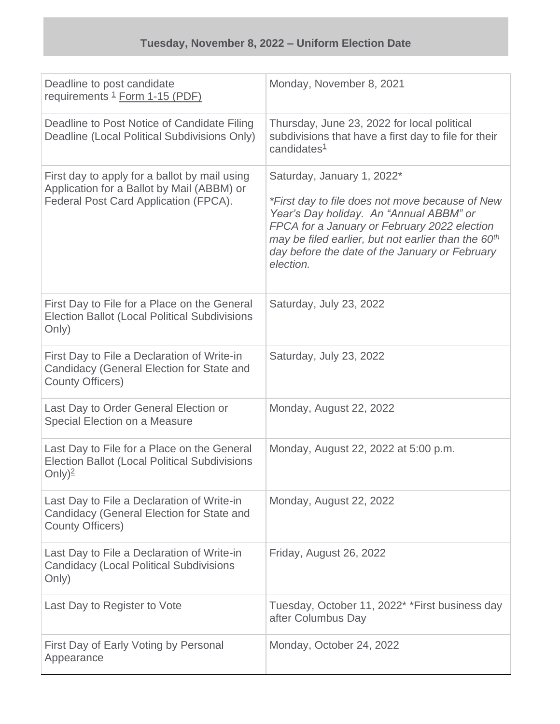| Deadline to post candidate<br>requirements <sup>1</sup> Form 1-15 (PDF)                                                              | Monday, November 8, 2021                                                                                                                                                                                                                                                                                   |
|--------------------------------------------------------------------------------------------------------------------------------------|------------------------------------------------------------------------------------------------------------------------------------------------------------------------------------------------------------------------------------------------------------------------------------------------------------|
| Deadline to Post Notice of Candidate Filing<br>Deadline (Local Political Subdivisions Only)                                          | Thursday, June 23, 2022 for local political<br>subdivisions that have a first day to file for their<br>candidates <sup>1</sup>                                                                                                                                                                             |
| First day to apply for a ballot by mail using<br>Application for a Ballot by Mail (ABBM) or<br>Federal Post Card Application (FPCA). | Saturday, January 1, 2022*<br>*First day to file does not move because of New<br>Year's Day holiday. An "Annual ABBM" or<br>FPCA for a January or February 2022 election<br>may be filed earlier, but not earlier than the 60 <sup>th</sup><br>day before the date of the January or February<br>election. |
| First Day to File for a Place on the General<br><b>Election Ballot (Local Political Subdivisions</b><br>Only)                        | Saturday, July 23, 2022                                                                                                                                                                                                                                                                                    |
| First Day to File a Declaration of Write-in<br>Candidacy (General Election for State and<br><b>County Officers)</b>                  | Saturday, July 23, 2022                                                                                                                                                                                                                                                                                    |
| Last Day to Order General Election or<br>Special Election on a Measure                                                               | Monday, August 22, 2022                                                                                                                                                                                                                                                                                    |
| Last Day to File for a Place on the General<br><b>Election Ballot (Local Political Subdivisions</b><br>Only) <sup>2</sup>            | Monday, August 22, 2022 at 5:00 p.m.                                                                                                                                                                                                                                                                       |
| Last Day to File a Declaration of Write-in<br>Candidacy (General Election for State and<br><b>County Officers)</b>                   | Monday, August 22, 2022                                                                                                                                                                                                                                                                                    |
| Last Day to File a Declaration of Write-in<br><b>Candidacy (Local Political Subdivisions</b><br>Only)                                | Friday, August 26, 2022                                                                                                                                                                                                                                                                                    |
| Last Day to Register to Vote                                                                                                         | Tuesday, October 11, 2022 <sup>*</sup> *First business day<br>after Columbus Day                                                                                                                                                                                                                           |
| First Day of Early Voting by Personal<br>Appearance                                                                                  | Monday, October 24, 2022                                                                                                                                                                                                                                                                                   |